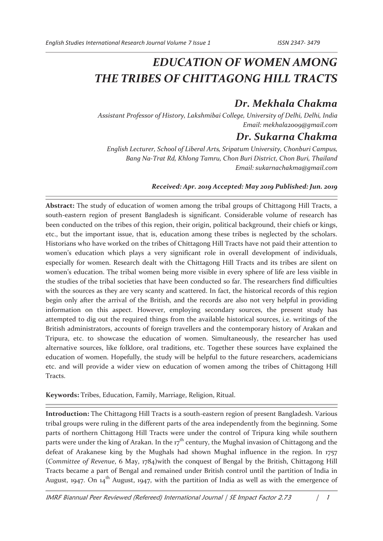# *EDUCATION OF WOMEN AMONG THE TRIBES OF CHITTAGONG HILL TRACTS*

## *Dr. Mekhala Chakma*

*Assistant Professor of History, Lakshmibai College, University of Delhi, Delhi, India Email: mekhala2009@gmail.com* 

### *Dr. Sukarna Chakma*

*English Lecturer, School of Liberal Arts, Sripatum University, Chonburi Campus, Bang Na-Trat Rd, Khlong Tamru, Chon Buri District, Chon Buri, Thailand Email: sukarnachakma@gmail.com* 

### *Received: Apr. 2019 Accepted: May 2019 Published: Jun. 2019*

**Abstract:** The study of education of women among the tribal groups of Chittagong Hill Tracts, a south-eastern region of present Bangladesh is significant. Considerable volume of research has been conducted on the tribes of this region, their origin, political background, their chiefs or kings, etc., but the important issue, that is, education among these tribes is neglected by the scholars. Historians who have worked on the tribes of Chittagong Hill Tracts have not paid their attention to women's education which plays a very significant role in overall development of individuals, especially for women. Research dealt with the Chittagong Hill Tracts and its tribes are silent on women's education. The tribal women being more visible in every sphere of life are less visible in the studies of the tribal societies that have been conducted so far. The researchers find difficulties with the sources as they are very scanty and scattered. In fact, the historical records of this region begin only after the arrival of the British, and the records are also not very helpful in providing information on this aspect. However, employing secondary sources, the present study has attempted to dig out the required things from the available historical sources, i.e. writings of the British administrators, accounts of foreign travellers and the contemporary history of Arakan and Tripura, etc. to showcase the education of women. Simultaneously, the researcher has used alternative sources, like folklore, oral traditions, etc. Together these sources have explained the education of women. Hopefully, the study will be helpful to the future researchers, academicians etc. and will provide a wider view on education of women among the tribes of Chittagong Hill Tracts.

**Keywords:** Tribes, Education, Family, Marriage, Religion, Ritual.

**Introduction:** The Chittagong Hill Tracts is a south-eastern region of present Bangladesh. Various tribal groups were ruling in the different parts of the area independently from the beginning. Some parts of northern Chittagong Hill Tracts were under the control of Tripura king while southern parts were under the king of Arakan. In the  $17<sup>th</sup>$  century, the Mughal invasion of Chittagong and the defeat of Arakanese king by the Mughals had shown Mughal influence in the region. In 1757 (*Committee of Revenue*, 6 May, 1784)with the conquest of Bengal by the British, Chittagong Hill Tracts became a part of Bengal and remained under British control until the partition of India in August, 1947. On 14<sup>th</sup> August, 1947, with the partition of India as well as with the emergence of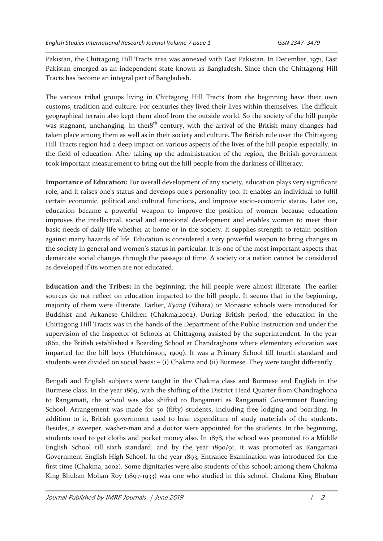Pakistan, the Chittagong Hill Tracts area was annexed with East Pakistan. In December, 1971, East Pakistan emerged as an independent state known as Bangladesh. Since then the Chittagong Hill Tracts has become an integral part of Bangladesh.

The various tribal groups living in Chittagong Hill Tracts from the beginning have their own customs, tradition and culture. For centuries they lived their lives within themselves. The difficult geographical terrain also kept them aloof from the outside world. So the society of the hill people was stagnant, unchanging. In the $18<sup>th</sup>$  century, with the arrival of the British many changes had taken place among them as well as in their society and culture. The British rule over the Chittagong Hill Tracts region had a deep impact on various aspects of the lives of the hill people especially, in the field of education. After taking up the administration of the region, the British government took important measurement to bring out the hill people from the darkness of illiteracy.

**Importance of Education:** For overall development of any society, education plays very significant role, and it raises one's status and develops one's personality too. It enables an individual to fulfil certain economic, political and cultural functions, and improve socio-economic status. Later on, education became a powerful weapon to improve the position of women because education improves the intellectual, social and emotional development and enables women to meet their basic needs of daily life whether at home or in the society. It supplies strength to retain position against many hazards of life. Education is considered a very powerful weapon to bring changes in the society in general and women's status in particular. It is one of the most important aspects that demarcate social changes through the passage of time. A society or a nation cannot be considered as developed if its women are not educated.

**Education and the Tribes:** In the beginning, the hill people were almost illiterate. The earlier sources do not reflect on education imparted to the hill people. It seems that in the beginning, majority of them were illiterate. Earlier, *Kyang* (Vihara) or Monastic schools were introduced for Buddhist and Arkanese Children (Chakma,2002). During British period, the education in the Chittagong Hill Tracts was in the hands of the Department of the Public Instruction and under the supervision of the Inspector of Schools at Chittagong assisted by the superintendent. In the year 1862, the British established a Boarding School at Chandraghona where elementary education was imparted for the hill boys (Hutchinson, 1909). It was a Primary School till fourth standard and students were divided on social basis: – (i) Chakma and (ii) Burmese. They were taught differently.

Bengali and English subjects were taught in the Chakma class and Burmese and English in the Burmese class. In the year 1869, with the shifting of the District Head Quarter from Chandraghona to Rangamati, the school was also shifted to Rangamati as Rangamati Government Boarding School. Arrangement was made for 50 (fifty) students, including free lodging and boarding. In addition to it, British government used to bear expenditure of study materials of the students. Besides, a sweeper, washer-man and a doctor were appointed for the students. In the beginning, students used to get cloths and pocket money also. In 1878, the school was promoted to a Middle English School till sixth standard, and by the year 1890/91, it was promoted as Rangamati Government English High School. In the year 1893, Entrance Examination was introduced for the first time (Chakma, 2002). Some dignitaries were also students of this school; among them Chakma King Bhuban Mohan Roy (1897-1933) was one who studied in this school. Chakma King Bhuban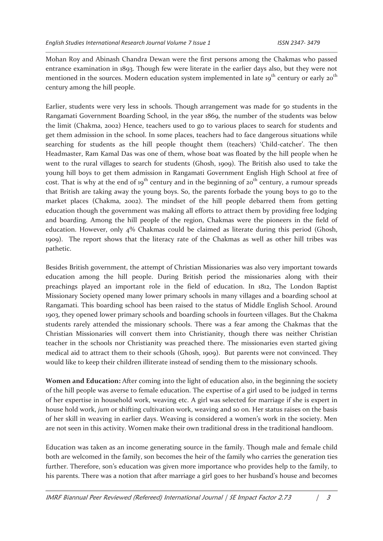Mohan Roy and Abinash Chandra Dewan were the first persons among the Chakmas who passed entrance examination in 1893. Though few were literate in the earlier days also, but they were not mentioned in the sources. Modern education system implemented in late 19<sup>th</sup> century or early 20<sup>th</sup> century among the hill people.

Earlier, students were very less in schools. Though arrangement was made for 50 students in the Rangamati Government Boarding School, in the year 1869, the number of the students was below the limit (Chakma, 2002) Hence, teachers used to go to various places to search for students and get them admission in the school. In some places, teachers had to face dangerous situations while searching for students as the hill people thought them (teachers) 'Child-catcher'. The then Headmaster, Ram Kamal Das was one of them, whose boat was floated by the hill people when he went to the rural villages to search for students (Ghosh, 1909). The British also used to take the young hill boys to get them admission in Rangamati Government English High School at free of cost. That is why at the end of 19<sup>th</sup> century and in the beginning of 20<sup>th</sup> century, a rumour spreads that British are taking away the young boys. So, the parents forbade the young boys to go to the market places (Chakma, 2002). The mindset of the hill people debarred them from getting education though the government was making all efforts to attract them by providing free lodging and boarding. Among the hill people of the region, Chakmas were the pioneers in the field of education. However, only 4% Chakmas could be claimed as literate during this period (Ghosh, 1909). The report shows that the literacy rate of the Chakmas as well as other hill tribes was pathetic.

Besides British government, the attempt of Christian Missionaries was also very important towards education among the hill people. During British period the missionaries along with their preachings played an important role in the field of education. In 1812, The London Baptist Missionary Society opened many lower primary schools in many villages and a boarding school at Rangamati. This boarding school has been raised to the status of Middle English School. Around 1903, they opened lower primary schools and boarding schools in fourteen villages. But the Chakma students rarely attended the missionary schools. There was a fear among the Chakmas that the Christian Missionaries will convert them into Christianity, though there was neither Christian teacher in the schools nor Christianity was preached there. The missionaries even started giving medical aid to attract them to their schools (Ghosh, 1909). But parents were not convinced. They would like to keep their children illiterate instead of sending them to the missionary schools.

**Women and Education:** After coming into the light of education also, in the beginning the society of the hill people was averse to female education. The expertise of a girl used to be judged in terms of her expertise in household work, weaving etc. A girl was selected for marriage if she is expert in house hold work, *jum* or shifting cultivation work, weaving and so on. Her status raises on the basis of her skill in weaving in earlier days. Weaving is considered a women's work in the society. Men are not seen in this activity. Women make their own traditional dress in the traditional handloom.

Education was taken as an income generating source in the family. Though male and female child both are welcomed in the family, son becomes the heir of the family who carries the generation ties further. Therefore, son's education was given more importance who provides help to the family, to his parents. There was a notion that after marriage a girl goes to her husband's house and becomes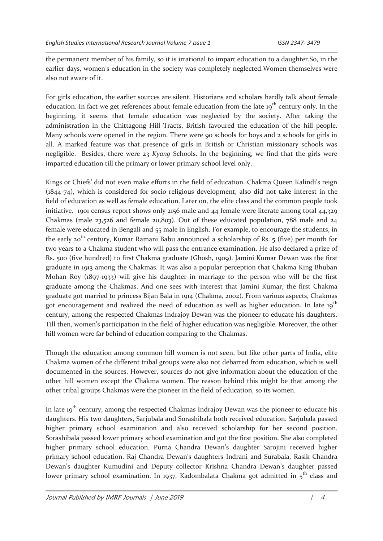the permanent member of his family, so it is irrational to impart education to a daughter.So, in the earlier days, women's education in the society was completely neglected.Women themselves were also not aware of it.

For girls education, the earlier sources are silent. Historians and scholars hardly talk about female education. In fact we get references about female education from the late 19<sup>th</sup> century only. In the beginning, it seems that female education was neglected by the society. After taking the administration in the Chittagong Hill Tracts, British favoured the education of the hill people. Many schools were opened in the region. There were 90 schools for boys and 2 schools for girls in all. A marked feature was that presence of girls in British or Christian missionary schools was negligible. Besides, there were 23 *Kyang* Schools. In the beginning, we find that the girls were imparted education till the primary or lower primary school level only.

Kings or Chiefs' did not even make efforts in the field of education. Chakma Queen Kalindi's reign (1844-74), which is considered for socio-religious development, also did not take interest in the field of education as well as female education. Later on, the elite class and the common people took initiative. 1901 census report shows only 2156 male and 44 female were literate among total 44,329 Chakmas (male  $23,526$  and female  $20,803$ ). Out of these educated population, 788 male and  $24$ female were educated in Bengali and 55 male in English. For example, to encourage the students, in the early 20<sup>th</sup> century, Kumar Ramani Babu announced a scholarship of Rs. 5 (five) per month for two years to a Chakma student who will pass the entrance examination. He also declared a prize of Rs. 500 (five hundred) to first Chakma graduate (Ghosh, 1909). Jamini Kumar Dewan was the first graduate in 1913 among the Chakmas. It was also a popular perception that Chakma King Bhuban Mohan Roy (1897-1933) will give his daughter in marriage to the person who will be the first graduate among the Chakmas. And one sees with interest that Jamini Kumar, the first Chakma graduate got married to princess Bijan Bala in 1914 (Chakma, 2002). From various aspects, Chakmas got encouragement and realized the need of education as well as higher education. In late 19<sup>th</sup> century, among the respected Chakmas Indrajoy Dewan was the pioneer to educate his daughters. Till then, women's participation in the field of higher education was negligible. Moreover, the other hill women were far behind of education comparing to the Chakmas.

Though the education among common hill women is not seen, but like other parts of India, elite Chakma women of the different tribal groups were also not debarred from education, which is well documented in the sources. However, sources do not give information about the education of the other hill women except the Chakma women. The reason behind this might be that among the other tribal groups Chakmas were the pioneer in the field of education, so its women.

In late  $19<sup>th</sup>$  century, among the respected Chakmas Indrajoy Dewan was the pioneer to educate his daughters. His two daughters, Sarjubala and Sorashibala both received education. Sarjubala passed higher primary school examination and also received scholarship for her second position. Sorashibala passed lower primary school examination and got the first position. She also completed higher primary school education. Purna Chandra Dewan's daughter Sarojini received higher primary school education. Raj Chandra Dewan's daughters Indrani and Surabala, Rasik Chandra Dewan's daughter Kumudini and Deputy collector Krishna Chandra Dewan's daughter passed lower primary school examination. In 1937, Kadombalata Chakma got admitted in 5<sup>th</sup> class and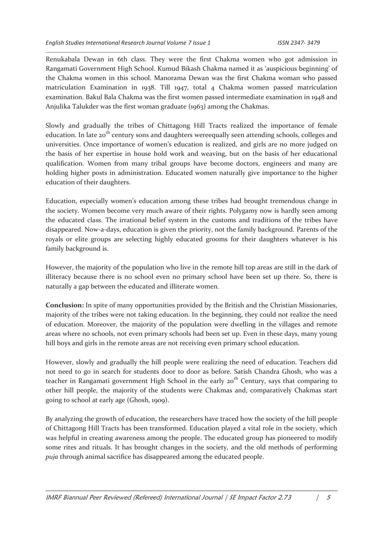Renukabala Dewan in 6th class. They were the first Chakma women who got admission in Rangamati Government High School. Kumud Bikash Chakma named it as 'auspicious beginning' of the Chakma women in this school. Manorama Dewan was the first Chakma woman who passed matriculation Examination in 1938. Till 1947, total 4 Chakma women passed matriculation examination. Bakul Bala Chakma was the first women passed intermediate examination in 1948 and Anjulika Talukder was the first woman graduate (1963) among the Chakmas.

Slowly and gradually the tribes of Chittagong Hill Tracts realized the importance of female education. In late 20<sup>th</sup> century sons and daughters wereequally seen attending schools, colleges and universities. Once importance of women's education is realized, and girls are no more judged on the basis of her expertise in house hold work and weaving, but on the basis of her educational qualification. Women from many tribal groups have become doctors, engineers and many are holding higher posts in administration. Educated women naturally give importance to the higher education of their daughters.

Education, especially women's education among these tribes had brought tremendous change in the society. Women become very much aware of their rights. Polygamy now is hardly seen among the educated class. The irrational belief system in the customs and traditions of the tribes have disappeared. Now-a-days, education is given the priority, not the family background. Parents of the royals or elite groups are selecting highly educated grooms for their daughters whatever is his family background is.

However, the majority of the population who live in the remote hill top areas are still in the dark of illiteracy because there is no school even no primary school have been set up there. So, there is naturally a gap between the educated and illiterate women.

**Conclusion:** In spite of many opportunities provided by the British and the Christian Missionaries, majority of the tribes were not taking education. In the beginning, they could not realize the need of education. Moreover, the majority of the population were dwelling in the villages and remote areas where no schools, not even primary schools had been set up. Even in these days, many young hill boys and girls in the remote areas are not receiving even primary school education.

However, slowly and gradually the hill people were realizing the need of education. Teachers did not need to go in search for students door to door as before. Satish Chandra Ghosh, who was a teacher in Rangamati government High School in the early 20<sup>th</sup> Century, says that comparing to other hill people, the majority of the students were Chakmas and, comparatively Chakmas start going to school at early age (Ghosh, 1909).

By analyzing the growth of education, the researchers have traced how the society of the hill people of Chittagong Hill Tracts has been transformed. Education played a vital role in the society, which was helpful in creating awareness among the people. The educated group has pioneered to modify some rites and rituals. It has brought changes in the society, and the old methods of performing *puja* through animal sacrifice has disappeared among the educated people.